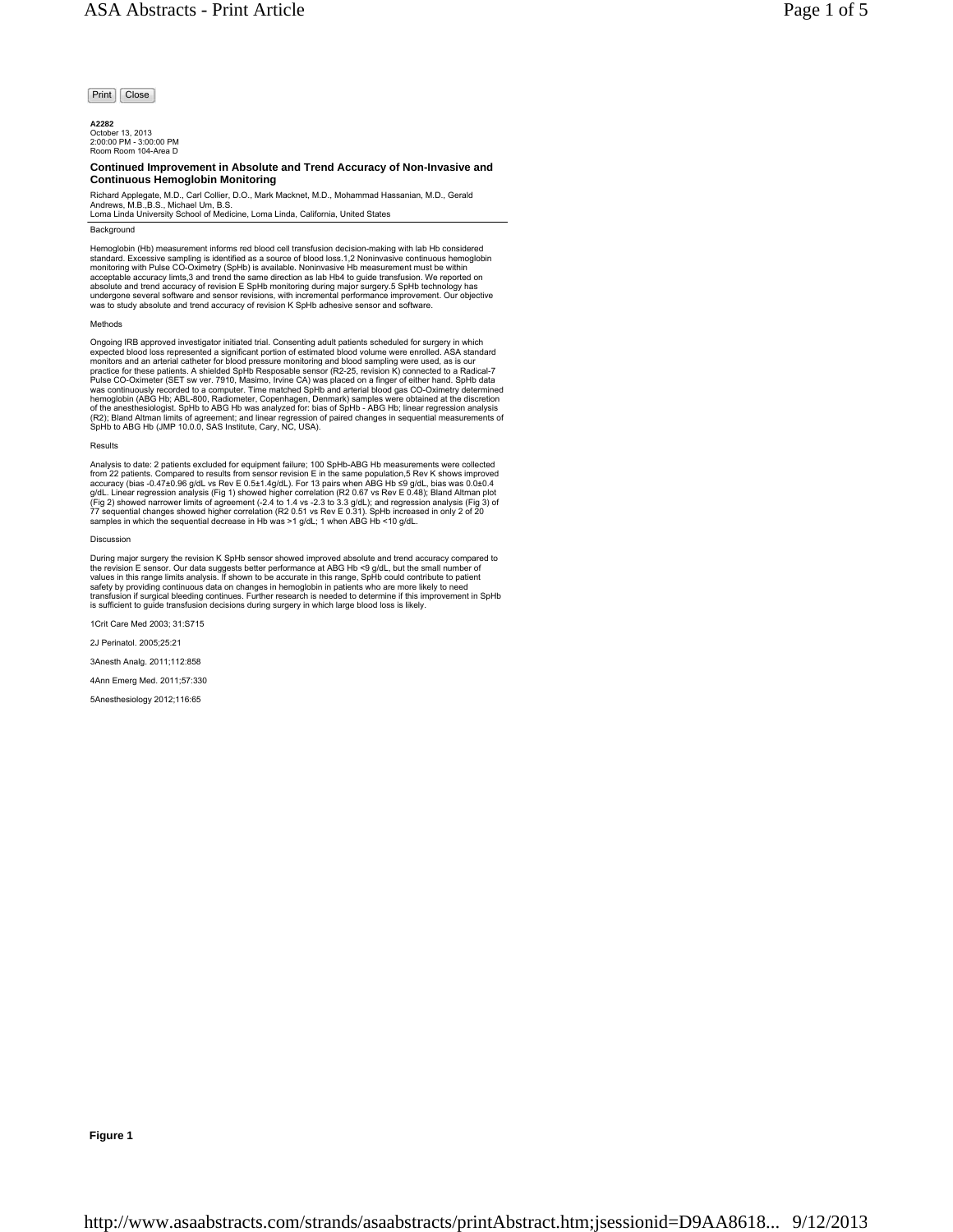Print | Close

**A2282**

October 13, 2013 2:00:00 PM - 3:00:00 PM Room Room 104-Area D

## **Continued Improvement in Absolute and Trend Accuracy of Non-Invasive and Continuous Hemoglobin Monitoring**

Richard Applegate, M.D., Carl Collier, D.O., Mark Macknet, M.D., Mohammad Hassanian, M.D., Gerald<br>Andrews, M.B.,B.S., Michael Um, B.S.<br>Loma Linda University School of Medicine, Loma Linda, California, United States

**Background** 

Hemoglobin (Hb) measurement informs red blood cell transfusion decision-making with lab Hb considered<br>standard. Excessive sampling is identified as a source of blood loss.1,2 Noninvasive continuous hemoglobin<br>monitoring wi acceptable accuracy limts,3 and trend the same direction as lab Hb4 to guide transfusion. We reported on<br>absolute and trend accuracy of revision E SpHb monitoring during major surgery.5 SpHb technology has<br>undergone severa

## Methods

Ongoing IRB approved investigator initiated trial. Consenting adult patients scheduled for surgery in which<br>expected blood loss represented a significant portion of estimated blood volume were enrolled. ASA standard<br>monito Pulse CO-Oximeter (SET sw ver. 7910, Masimo, Irvine CA) was placed on a finger of either hand. SpHb data<br>was continuously recorded to a computer. Time matched SpHb and arterial blood gas CO-Oximetry determined<br>hemoglobin (

## Results

Analysis to date: 2 patients excluded for equipment failure; 100 SpHb-ABG Hb measurements were collected from 22 patients. Compared to results from sensor revision E in the same population,5 Rev K shows improved<br>accuracy (bias -0.4740.96 g/dL vs Rev E 0.5±1.4g/dL). For 13 pairs when ABG Hb ≤9 g/dL, bias was 0.0±0.4<br>g/dL, Lin

## Discussion

During major surgery the revision K SpHb sensor showed improved absolute and trend accuracy compared to<br>the revision E sensor. Our data suggests better performance at ABG Hb <9 g/dL, but the small number of<br>values in this

1Crit Care Med 2003; 31:S715

2J Perinatol. 2005;25:21

3Anesth Analg. 2011;112:858

4Ann Emerg Med. 2011;57:330

5Anesthesiology 2012;116:65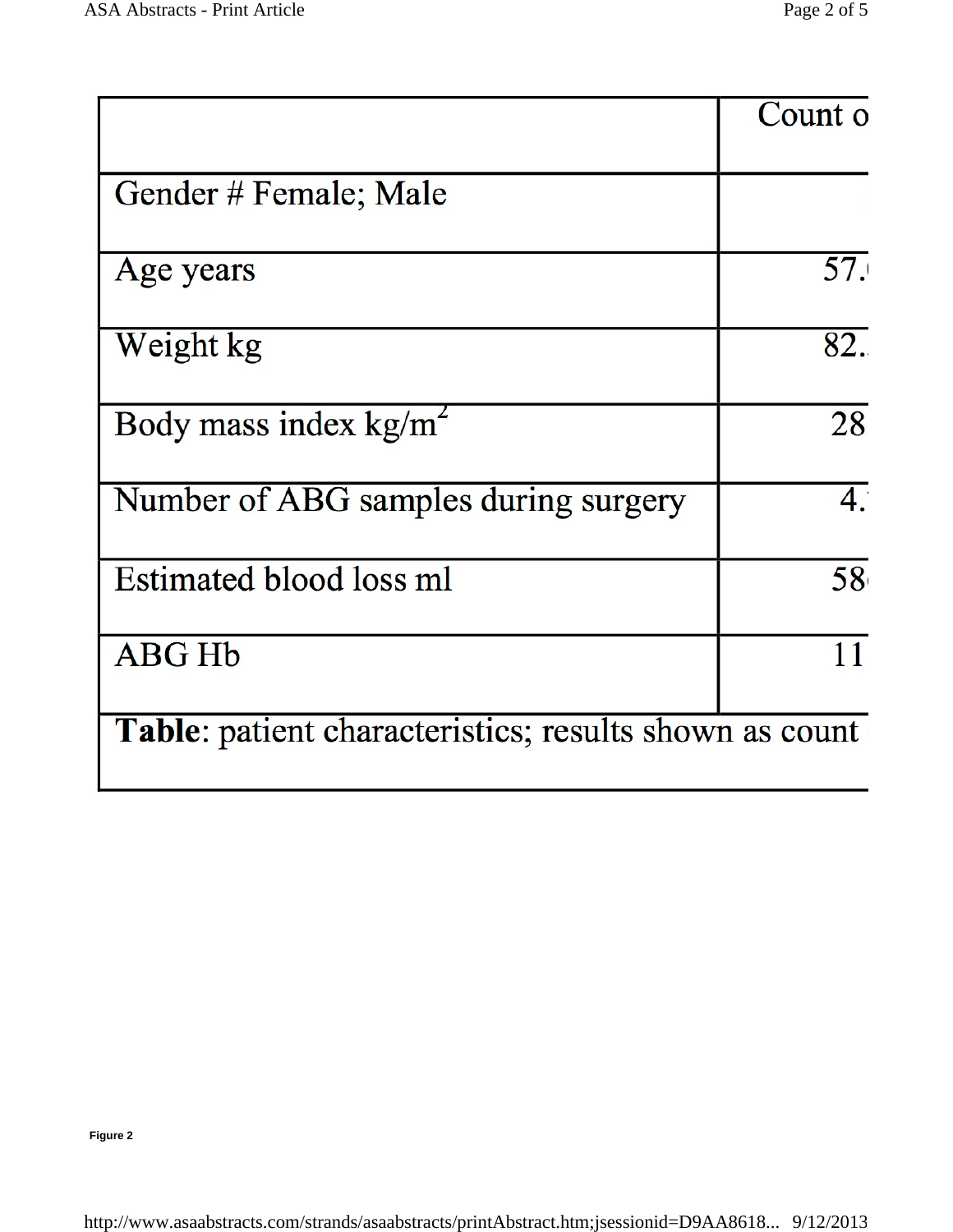|                                                               | Count o          |
|---------------------------------------------------------------|------------------|
| Gender # Female; Male                                         |                  |
| Age years                                                     | 57.1             |
| Weight kg                                                     | 82.              |
| Body mass index $kg/m^2$                                      | 28               |
| Number of ABG samples during surgery                          | $\overline{4}$ . |
| Estimated blood loss ml                                       | 58               |
| <b>ABG Hb</b>                                                 |                  |
| <b>Table:</b> patient characteristics; results shown as count |                  |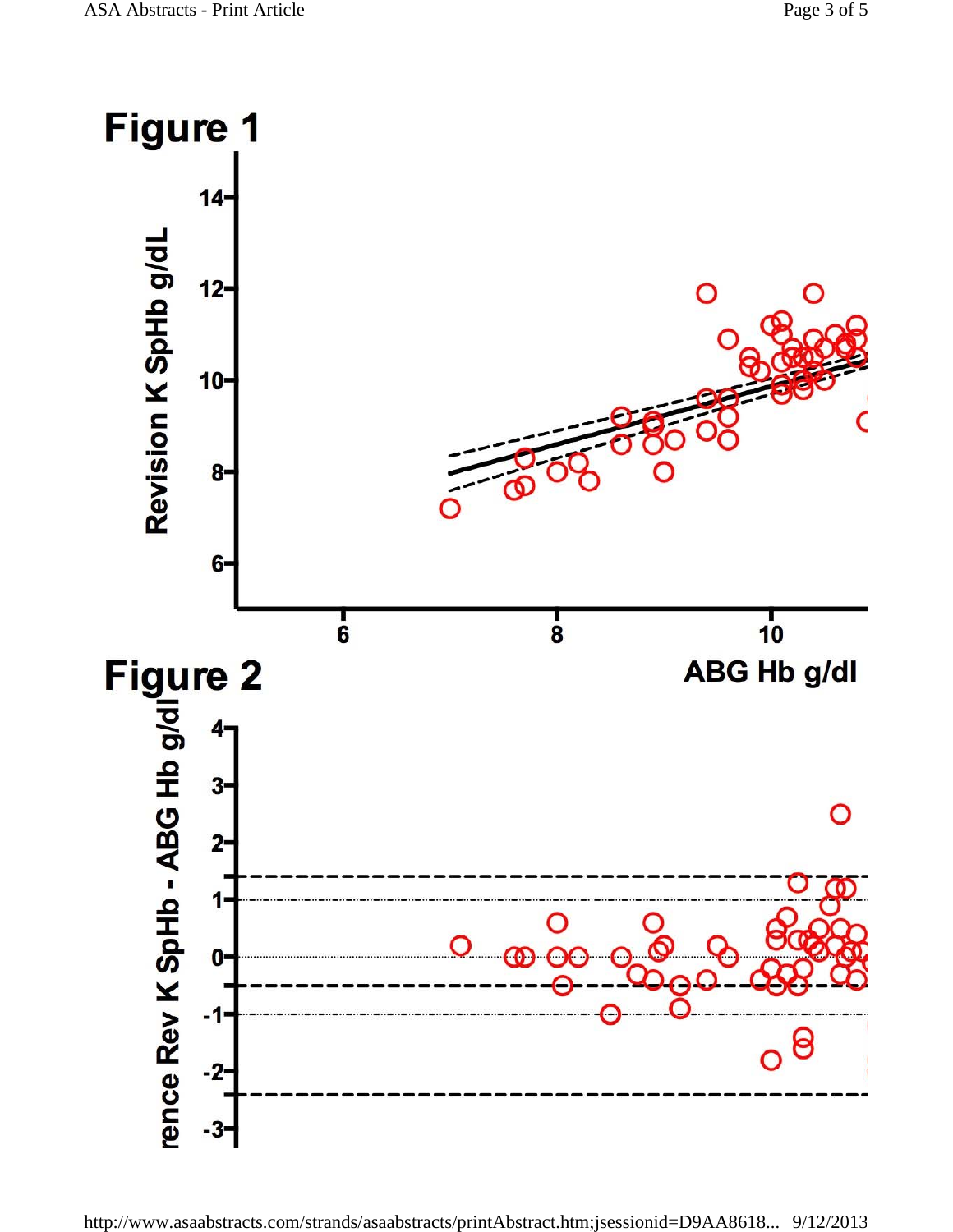